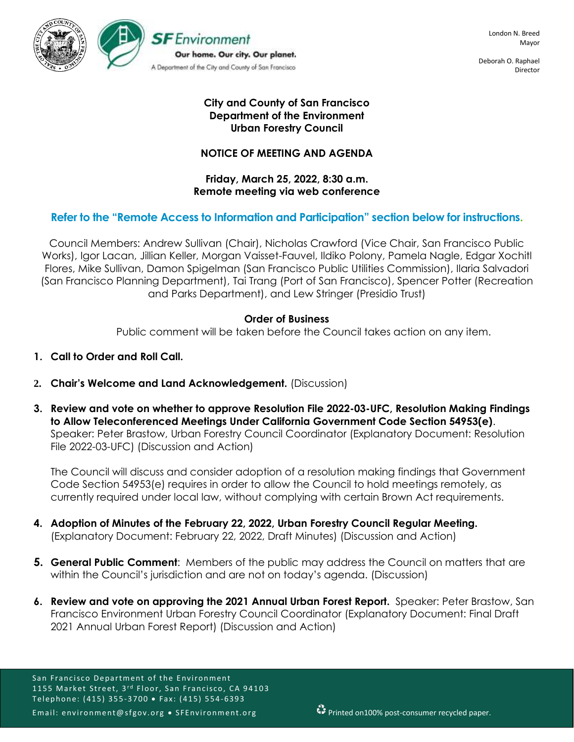

Deborah O. Raphael Director

# **City and County of San Francisco Department of the Environment Urban Forestry Council**

## **NOTICE OF MEETING AND AGENDA**

### **Friday, March 25, 2022, 8:30 a.m. Remote meeting via web conference**

# **Refer to the "Remote Access to Information and Participation" section below for instructions.**

Council Members: Andrew Sullivan (Chair), Nicholas Crawford (Vice Chair, San Francisco Public Works), Igor Lacan, Jillian Keller, Morgan Vaisset-Fauvel, Ildiko Polony, Pamela Nagle, Edgar Xochitl Flores, Mike Sullivan, Damon Spigelman (San Francisco Public Utilities Commission), Ilaria Salvadori (San Francisco Planning Department), Tai Trang (Port of San Francisco), Spencer Potter (Recreation and Parks Department), and Lew Stringer (Presidio Trust)

## **Order of Business**

Public comment will be taken before the Council takes action on any item.

- **1. Call to Order and Roll Call.**
- **2. Chair's Welcome and Land Acknowledgement.** (Discussion)
- **3. Review and vote on whether to approve Resolution File 2022-03-UFC, Resolution Making Findings to Allow Teleconferenced Meetings Under California Government Code Section 54953(e)**. Speaker: Peter Brastow, Urban Forestry Council Coordinator (Explanatory Document: Resolution File 2022-03-UFC) (Discussion and Action)

The Council will discuss and consider adoption of a resolution making findings that Government Code Section 54953(e) requires in order to allow the Council to hold meetings remotely, as currently required under local law, without complying with certain Brown Act requirements.

- **4. Adoption of Minutes of the February 22, 2022, Urban Forestry Council Regular Meeting.**  (Explanatory Document: February 22, 2022, Draft Minutes) (Discussion and Action)
- **5. General Public Comment**: Members of the public may address the Council on matters that are within the Council's jurisdiction and are not on today's agenda. (Discussion)
- **6. Review and vote on approving the 2021 Annual Urban Forest Report.** Speaker: Peter Brastow, San Francisco Environment Urban Forestry Council Coordinator (Explanatory Document: Final Draft 2021 Annual Urban Forest Report) (Discussion and Action)

San Francisco Department of the Environment 1155 Market Street, 3<sup>rd</sup> Floor, San Francisco, CA 94103 Telephone: (415) 355-3700 • Fax: (415) 554-6393 Email: environment@sfgov.org • SFEnvironment.org **FP** Printed on100% post-consumer recycled paper.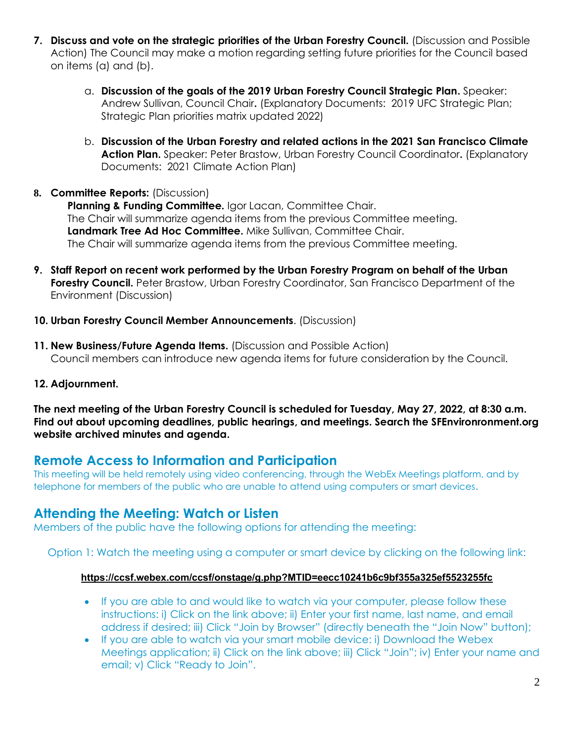- **7. Discuss and vote on the strategic priorities of the Urban Forestry Council.** (Discussion and Possible Action) The Council may make a motion regarding setting future priorities for the Council based on items (a) and (b).
	- a. **Discussion of the goals of the 2019 Urban Forestry Council Strategic Plan.** Speaker: Andrew Sullivan, Council Chair**.** (Explanatory Documents: 2019 UFC Strategic Plan; Strategic Plan priorities matrix updated 2022)
	- b. **Discussion of the Urban Forestry and related actions in the 2021 San Francisco Climate Action Plan.** Speaker: Peter Brastow, Urban Forestry Council Coordinator**.** (Explanatory Documents: 2021 Climate Action Plan)
- **8. Committee Reports:** (Discussion)

Planning & Funding Committee. Igor Lacan, Committee Chair. The Chair will summarize agenda items from the previous Committee meeting. **Landmark Tree Ad Hoc Committee.** Mike Sullivan, Committee Chair. The Chair will summarize agenda items from the previous Committee meeting.

- **9. Staff Report on recent work performed by the Urban Forestry Program on behalf of the Urban Forestry Council.** Peter Brastow, Urban Forestry Coordinator, San Francisco Department of the Environment (Discussion)
- **10. Urban Forestry Council Member Announcements**. (Discussion)
- **11. New Business/Future Agenda Items.** (Discussion and Possible Action) Council members can introduce new agenda items for future consideration by the Council.
- **12. Adjournment.**

**The next meeting of the Urban Forestry Council is scheduled for Tuesday, May 27, 2022, at 8:30 a.m. Find out about upcoming deadlines, public hearings, and meetings. Search the SFEnvironronment.org website archived minutes and agenda.**

# **Remote Access to Information and Participation**

This meeting will be held remotely using video conferencing, through the WebEx Meetings platform, and by telephone for members of the public who are unable to attend using computers or smart devices.

# **Attending the Meeting: Watch or Listen**

Members of the public have the following options for attending the meeting:

Option 1: Watch the meeting using a computer or smart device by clicking on the following link:

## **<https://ccsf.webex.com/ccsf/onstage/g.php?MTID=eecc10241b6c9bf355a325ef5523255fc>**

- If you are able to and would like to watch via your computer, please follow these instructions: i) Click on the link above; ii) Enter your first name, last name, and email address if desired; iii) Click "Join by Browser" (directly beneath the "Join Now" button);
- If you are able to watch via your smart mobile device: i) Download the Webex Meetings application; ii) Click on the link above; iii) Click "Join"; iv) Enter your name and email; v) Click "Ready to Join".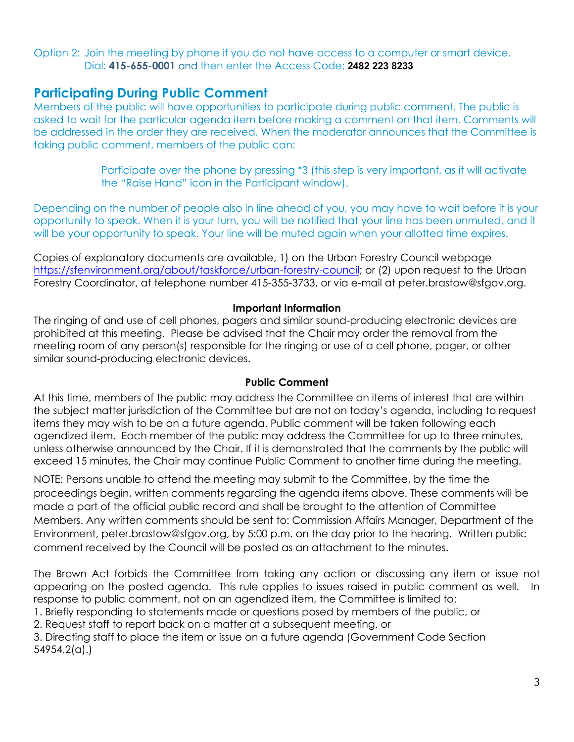Option 2: Join the meeting by phone if you do not have access to a computer or smart device. Dial: **415-655-0001** and then enter the Access Code: **2482 223 8233**

# **Participating During Public Comment**

Members of the public will have opportunities to participate during public comment. The public is asked to wait for the particular agenda item before making a comment on that item. Comments will be addressed in the order they are received. When the moderator announces that the Committee is taking public comment, members of the public can:

> Participate over the phone by pressing \*3 (this step is very important, as it will activate the "Raise Hand" icon in the Participant window).

Depending on the number of people also in line ahead of you, you may have to wait before it is your opportunity to speak. When it is your turn, you will be notified that your line has been unmuted, and it will be your opportunity to speak. Your line will be muted again when your allotted time expires.

Copies of explanatory documents are available, 1) on the Urban Forestry Council webpage [https://sfenvironment.org/about/taskforce/urban-forestry-council;](https://sfenvironment.org/about/taskforce/urban-forestry-council) or (2) upon request to the Urban Forestry Coordinator, at telephone number 415-355-3733, or via e-mail at peter.brastow@sfgov.org.

#### **Important Information**

The ringing of and use of cell phones, pagers and similar sound-producing electronic devices are prohibited at this meeting. Please be advised that the Chair may order the removal from the meeting room of any person(s) responsible for the ringing or use of a cell phone, pager, or other similar sound-producing electronic devices.

#### **Public Comment**

At this time, members of the public may address the Committee on items of interest that are within the subject matter jurisdiction of the Committee but are not on today's agenda, including to request items they may wish to be on a future agenda. Public comment will be taken following each agendized item. Each member of the public may address the Committee for up to three minutes, unless otherwise announced by the Chair. If it is demonstrated that the comments by the public will exceed 15 minutes, the Chair may continue Public Comment to another time during the meeting.

NOTE: Persons unable to attend the meeting may submit to the Committee, by the time the proceedings begin, written comments regarding the agenda items above. These comments will be made a part of the official public record and shall be brought to the attention of Committee Members. Any written comments should be sent to: Commission Affairs Manager, Department of the Environment, peter.brastow@sfgov.org, by 5:00 p.m. on the day prior to the hearing. Written public comment received by the Council will be posted as an attachment to the minutes.

The Brown Act forbids the Committee from taking any action or discussing any item or issue not appearing on the posted agenda. This rule applies to issues raised in public comment as well. In response to public comment, not on an agendized item, the Committee is limited to:

- 1. Briefly responding to statements made or questions posed by members of the public, or
- 2. Request staff to report back on a matter at a subsequent meeting, or

3. Directing staff to place the item or issue on a future agenda (Government Code Section 54954.2(a).)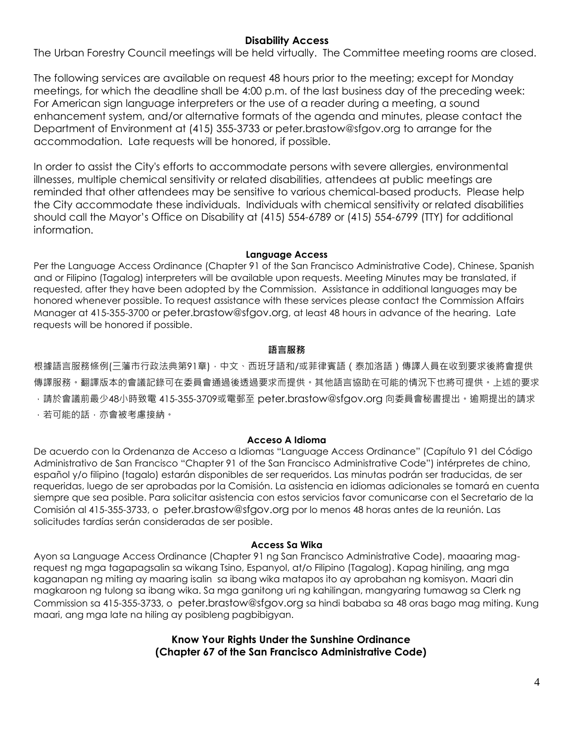## **Disability Access**

The Urban Forestry Council meetings will be held virtually. The Committee meeting rooms are closed.

The following services are available on request 48 hours prior to the meeting; except for Monday meetings, for which the deadline shall be 4:00 p.m. of the last business day of the preceding week: For American sign language interpreters or the use of a reader during a meeting, a sound enhancement system, and/or alternative formats of the agenda and minutes, please contact the Department of Environment at (415) 355-3733 or peter.brastow@sfgov.org to arrange for the accommodation. Late requests will be honored, if possible.

In order to assist the City's efforts to accommodate persons with severe allergies, environmental illnesses, multiple chemical sensitivity or related disabilities, attendees at public meetings are reminded that other attendees may be sensitive to various chemical-based products. Please help the City accommodate these individuals. Individuals with chemical sensitivity or related disabilities should call the Mayor's Office on Disability at (415) 554-6789 or (415) 554-6799 (TTY) for additional information.

#### **Language Access**

Per the Language Access Ordinance (Chapter 91 of the San Francisco Administrative Code), Chinese, Spanish and or Filipino (Tagalog) interpreters will be available upon requests. Meeting Minutes may be translated, if requested, after they have been adopted by the Commission. Assistance in additional languages may be honored whenever possible. To request assistance with these services please contact the Commission Affairs Manager at 415-355-3700 or peter.brastow@sfgov.org, at least 48 hours in advance of the hearing. Late requests will be honored if possible.

### **語言服務**

根據語言服務條例(三藩市行政法典第91章),中文、西班牙語和/或菲律賓語(泰加洛語)傳譯人員在收到要求後將會提供 傳譯服務。翻譯版本的會議記錄可在委員會通過後透過要求而提供。其他語言協助在可能的情況下也將可提供。上述的要求 ,請於會議前最少48小時致電 415-355-3709或電郵至 peter.brastow@sfgov.org 向委員會秘書提出。逾期提出的請求 ,若可能的話,亦會被考慮接納。

### **Acceso A Idioma**

De acuerdo con la Ordenanza de Acceso a Idiomas "Language Access Ordinance" (Capítulo 91 del Código Administrativo de San Francisco "Chapter 91 of the San Francisco Administrative Code") intérpretes de chino, español y/o filipino (tagalo) estarán disponibles de ser requeridos. Las minutas podrán ser traducidas, de ser requeridas, luego de ser aprobadas por la Comisión. La asistencia en idiomas adicionales se tomará en cuenta siempre que sea posible. Para solicitar asistencia con estos servicios favor comunicarse con el Secretario de la Comisión al 415-355-3733, o peter.brastow@sfgov.org por lo menos 48 horas antes de la reunión. Las solicitudes tardías serán consideradas de ser posible.

#### **Access Sa Wika**

Ayon sa Language Access Ordinance (Chapter 91 ng San Francisco Administrative Code), maaaring magrequest ng mga tagapagsalin sa wikang Tsino, Espanyol, at/o Filipino (Tagalog). Kapag hiniling, ang mga kaganapan ng miting ay maaring isalin sa ibang wika matapos ito ay aprobahan ng komisyon. Maari din magkaroon ng tulong sa ibang wika. Sa mga ganitong uri ng kahilingan, mangyaring tumawag sa Clerk ng Commission sa 415-355-3733, o peter.brastow@sfgov.org sa hindi bababa sa 48 oras bago mag miting. Kung maari, ang mga late na hiling ay posibleng pagbibigyan.

> **Know Your Rights Under the Sunshine Ordinance (Chapter 67 of the San Francisco Administrative Code)**